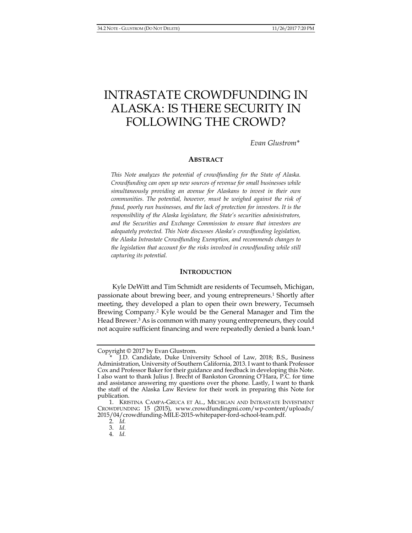# INTRASTATE CROWDFUNDING IN ALASKA: IS THERE SECURITY IN FOLLOWING THE CROWD?

*Evan Glustrom\** 

## **ABSTRACT**

*This Note analyzes the potential of crowdfunding for the State of Alaska. Crowdfunding can open up new sources of revenue for small businesses while simultaneously providing an avenue for Alaskans to invest in their own communities. The potential, however, must be weighed against the risk of fraud, poorly run businesses, and the lack of protection for investors. It is the responsibility of the Alaska legislature, the State's securities administrators, and the Securities and Exchange Commission to ensure that investors are adequately protected. This Note discusses Alaska's crowdfunding legislation, the Alaska Intrastate Crowdfunding Exemption, and recommends changes to the legislation that account for the risks involved in crowdfunding while still capturing its potential.* 

#### **INTRODUCTION**

Kyle DeWitt and Tim Schmidt are residents of Tecumseh, Michigan, passionate about brewing beer, and young entrepreneurs.1 Shortly after meeting, they developed a plan to open their own brewery, Tecumseh Brewing Company.2 Kyle would be the General Manager and Tim the Head Brewer.<sup>3</sup> As is common with many young entrepreneurs, they could not acquire sufficient financing and were repeatedly denied a bank loan.4

2. *Id.* 

3. *Id.*

4. *Id.*

Copyright © 2017 by Evan Glustrom.

 <sup>\*</sup> J.D. Candidate, Duke University School of Law, 2018; B.S., Business Administration, University of Southern California, 2013. I want to thank Professor Cox and Professor Baker for their guidance and feedback in developing this Note. I also want to thank Julius J. Brecht of Bankston Gronning O'Hara, P.C. for time and assistance answering my questions over the phone. Lastly, I want to thank the staff of the Alaska Law Review for their work in preparing this Note for publication.

 <sup>1.</sup> KRISTINA CAMPA-GRUCA ET AL., MICHIGAN AND INTRASTATE INVESTMENT CROWDFUNDING 15 (2015), www.crowdfundingmi.com/wp-content/uploads/ 2015/04/crowdfunding-MILE-2015-whitepaper-ford-school-team.pdf.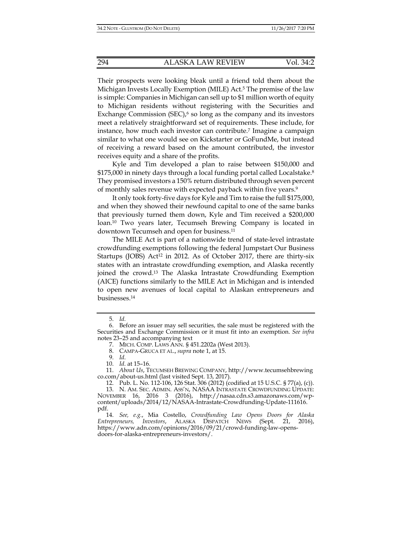Their prospects were looking bleak until a friend told them about the Michigan Invests Locally Exemption (MILE) Act.5 The premise of the law is simple: Companies in Michigan can sell up to \$1 million worth of equity to Michigan residents without registering with the Securities and Exchange Commission (SEC),<sup>6</sup> so long as the company and its investors meet a relatively straightforward set of requirements. These include, for instance, how much each investor can contribute.<sup>7</sup> Imagine a campaign similar to what one would see on Kickstarter or GoFundMe, but instead of receiving a reward based on the amount contributed, the investor receives equity and a share of the profits.

Kyle and Tim developed a plan to raise between \$150,000 and \$175,000 in ninety days through a local funding portal called Localstake.<sup>8</sup> They promised investors a 150% return distributed through seven percent of monthly sales revenue with expected payback within five years.<sup>9</sup>

It only took forty-five days for Kyle and Tim to raise the full \$175,000, and when they showed their newfound capital to one of the same banks that previously turned them down, Kyle and Tim received a \$200,000 loan.10 Two years later, Tecumseh Brewing Company is located in downtown Tecumseh and open for business.11

The MILE Act is part of a nationwide trend of state-level intrastate crowdfunding exemptions following the federal Jumpstart Our Business Startups (JOBS) Act<sup>12</sup> in 2012. As of October 2017, there are thirty-six states with an intrastate crowdfunding exemption, and Alaska recently joined the crowd.13 The Alaska Intrastate Crowdfunding Exemption (AICE) functions similarly to the MILE Act in Michigan and is intended to open new avenues of local capital to Alaskan entrepreneurs and businesses.14

 <sup>5.</sup> *Id.*

 <sup>6.</sup> Before an issuer may sell securities, the sale must be registered with the Securities and Exchange Commission or it must fit into an exemption. *See infra*  notes 23–25 and accompanying text

 <sup>7.</sup> MICH. COMP. LAWS ANN. § 451.2202a (West 2013).

 <sup>8.</sup> CAMPA-GRUCA ET AL., *supra* note 1, at 15.

 <sup>9.</sup> *Id*.

 <sup>10.</sup> *Id*. at 15–16.

 <sup>11.</sup> *About Us*, TECUMSEH BREWING COMPANY, http://www.tecumsehbrewing co.com/about-us.html (last visited Sept. 13, 2017).

 <sup>12.</sup> Pub. L. No. 112-106, 126 Stat. 306 (2012) (codified at 15 U.S.C. § 77(a), (c)).

 <sup>13.</sup> N. AM. SEC. ADMIN. ASS'N, NASAA INTRASTATE CROWDFUNDING UPDATE: NOVEMBER 16, 2016 3 (2016), http://nasaa.cdn.s3.amazonaws.com/wpcontent/uploads/2014/12/NASAA-Intrastate-Crowdfunding-Update-111616. pdf.

 <sup>14.</sup> *See, e.g.*, Mia Costello, *Crowdfunding Law Opens Doors for Alaska Entrepreneurs, Investors*, ALASKA DISPATCH NEWS (Sept. 21, 2016), https://www.adn.com/opinions/2016/09/21/crowd-funding-law-opensdoors-for-alaska-entrepreneurs-investors/.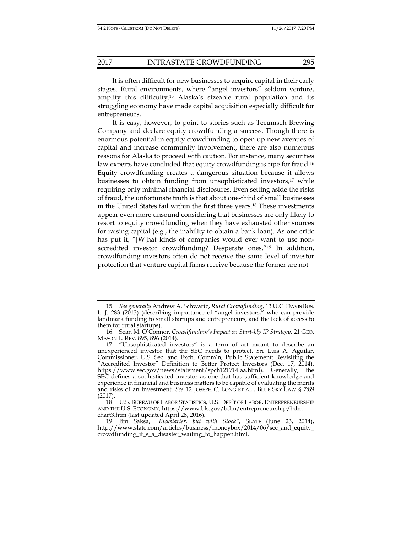It is often difficult for new businesses to acquire capital in their early stages. Rural environments, where "angel investors" seldom venture, amplify this difficulty.15 Alaska's sizeable rural population and its struggling economy have made capital acquisition especially difficult for entrepreneurs.

It is easy, however, to point to stories such as Tecumseh Brewing Company and declare equity crowdfunding a success. Though there is enormous potential in equity crowdfunding to open up new avenues of capital and increase community involvement, there are also numerous reasons for Alaska to proceed with caution. For instance, many securities law experts have concluded that equity crowdfunding is ripe for fraud.<sup>16</sup> Equity crowdfunding creates a dangerous situation because it allows businesses to obtain funding from unsophisticated investors,<sup>17</sup> while requiring only minimal financial disclosures. Even setting aside the risks of fraud, the unfortunate truth is that about one-third of small businesses in the United States fail within the first three years.18 These investments appear even more unsound considering that businesses are only likely to resort to equity crowdfunding when they have exhausted other sources for raising capital (e.g., the inability to obtain a bank loan). As one critic has put it, "[W]hat kinds of companies would ever want to use nonaccredited investor crowdfunding? Desperate ones."19 In addition, crowdfunding investors often do not receive the same level of investor protection that venture capital firms receive because the former are not

 <sup>15.</sup> *See generally* Andrew A. Schwartz, *Rural Crowdfunding*, 13 U.C. DAVIS BUS. L. J. 283 (2013) (describing importance of "angel investors," who can provide landmark funding to small startups and entrepreneurs, and the lack of access to them for rural startups).

 <sup>16.</sup> Sean M. O'Connor, *Crowdfunding's Impact on Start-Up IP Strategy*, 21 GEO. MASON L. REV. 895, 896 (2014).

 <sup>17. &</sup>quot;Unsophisticated investors" is a term of art meant to describe an unexperienced investor that the SEC needs to protect. *See* Luis A. Aguilar, Commissioner, U.S. Sec. and Exch. Comm'n, Public Statement: Revisiting the "Accredited Investor" Definition to Better Protect Investors (Dec. 17, 2014), https://www.sec.gov/news/statement/spch121714laa.html). Generally, the SEC defines a sophisticated investor as one that has sufficient knowledge and experience in financial and business matters to be capable of evaluating the merits and risks of an investment. *See* 12 JOSEPH C. LONG ET AL., BLUE SKY LAW § 7:89 (2017).

 <sup>18.</sup> U.S. BUREAU OF LABOR STATISTICS, U.S. DEP'T OF LABOR, ENTREPRENEURSHIP AND THE U.S. ECONOMY, https://www.bls.gov/bdm/entrepreneurship/bdm\_ chart3.htm (last updated April 28, 2016).

 <sup>19.</sup> Jim Saksa, *"Kickstarter, but with Stock"*, SLATE (June 23, 2014), http://www.slate.com/articles/business/moneybox/2014/06/sec\_and\_equity\_ crowdfunding\_it\_s\_a\_disaster\_waiting\_to\_happen.html.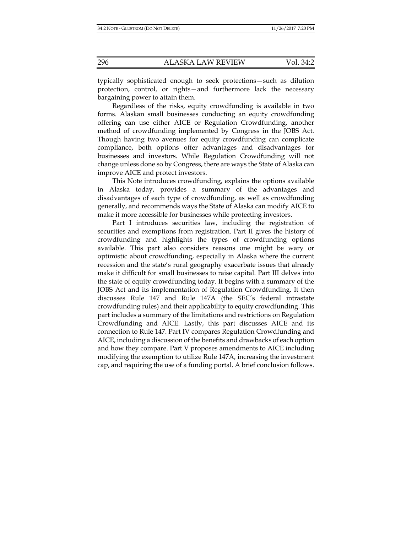typically sophisticated enough to seek protections—such as dilution protection, control, or rights—and furthermore lack the necessary bargaining power to attain them.

Regardless of the risks, equity crowdfunding is available in two forms. Alaskan small businesses conducting an equity crowdfunding offering can use either AICE or Regulation Crowdfunding, another method of crowdfunding implemented by Congress in the JOBS Act. Though having two avenues for equity crowdfunding can complicate compliance, both options offer advantages and disadvantages for businesses and investors. While Regulation Crowdfunding will not change unless done so by Congress, there are ways the State of Alaska can improve AICE and protect investors.

This Note introduces crowdfunding, explains the options available in Alaska today, provides a summary of the advantages and disadvantages of each type of crowdfunding, as well as crowdfunding generally, and recommends ways the State of Alaska can modify AICE to make it more accessible for businesses while protecting investors.

Part I introduces securities law, including the registration of securities and exemptions from registration. Part II gives the history of crowdfunding and highlights the types of crowdfunding options available. This part also considers reasons one might be wary or optimistic about crowdfunding, especially in Alaska where the current recession and the state's rural geography exacerbate issues that already make it difficult for small businesses to raise capital. Part III delves into the state of equity crowdfunding today. It begins with a summary of the JOBS Act and its implementation of Regulation Crowdfunding. It then discusses Rule 147 and Rule 147A (the SEC's federal intrastate crowdfunding rules) and their applicability to equity crowdfunding. This part includes a summary of the limitations and restrictions on Regulation Crowdfunding and AICE. Lastly, this part discusses AICE and its connection to Rule 147. Part IV compares Regulation Crowdfunding and AICE, including a discussion of the benefits and drawbacks of each option and how they compare. Part V proposes amendments to AICE including modifying the exemption to utilize Rule 147A, increasing the investment cap, and requiring the use of a funding portal. A brief conclusion follows.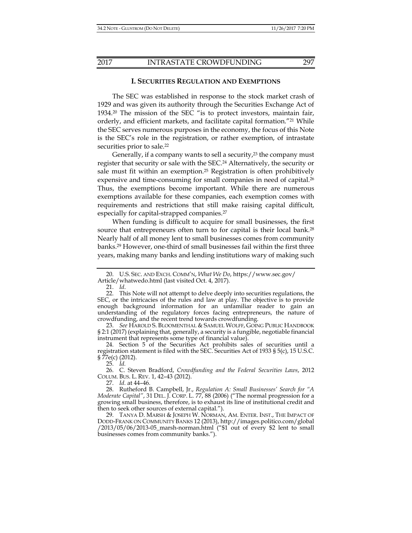#### **I. SECURITIES REGULATION AND EXEMPTIONS**

The SEC was established in response to the stock market crash of 1929 and was given its authority through the Securities Exchange Act of 1934.20 The mission of the SEC "is to protect investors, maintain fair, orderly, and efficient markets, and facilitate capital formation."21 While the SEC serves numerous purposes in the economy, the focus of this Note is the SEC's role in the registration, or rather exemption, of intrastate securities prior to sale.<sup>22</sup>

Generally, if a company wants to sell a security, $2<sup>3</sup>$  the company must register that security or sale with the SEC.24 Alternatively, the security or sale must fit within an exemption.25 Registration is often prohibitively expensive and time-consuming for small companies in need of capital.<sup>26</sup> Thus, the exemptions become important. While there are numerous exemptions available for these companies, each exemption comes with requirements and restrictions that still make raising capital difficult, especially for capital-strapped companies.<sup>27</sup>

When funding is difficult to acquire for small businesses, the first source that entrepreneurs often turn to for capital is their local bank.<sup>28</sup> Nearly half of all money lent to small businesses comes from community banks.29 However, one-third of small businesses fail within the first three years, making many banks and lending institutions wary of making such

 23. *See* HAROLD S. BLOOMENTHAL & SAMUEL WOLFF, GOING PUBLIC HANDBOOK § 2:1 (2017) (explaining that, generally, a security is a fungible, negotiable financial instrument that represents some type of financial value).

 24. Section 5 of the Securities Act prohibits sales of securities until a registration statement is filed with the SEC. Securities Act of 1933 § 5(c), 15 U.S.C.  $\frac{5}{7}$ 7e(c) (2012).

25. *Id.* 

 26. C. Steven Bradford, *Crowdfunding and the Federal Securities Laws*, 2012 COLUM. BUS. L. REV. 1, 42–43 (2012).

27. *Id.* at 44–46.

 28. Rutheford B. Campbell, Jr., *Regulation A: Small Businesses' Search for "A Moderate Capital"*, 31 DEL. J. CORP. L. 77, 88 (2006) ("The normal progression for a growing small business, therefore, is to exhaust its line of institutional credit and then to seek other sources of external capital.").

 29. TANYA D. MARSH & JOSEPH W. NORMAN, AM. ENTER. INST., THE IMPACT OF DODD-FRANK ON COMMUNITY BANKS 12 (2013), http://images.politico.com/global /2013/05/06/2013-05\_marsh-norman.html ("\$1 out of every \$2 lent to small businesses comes from community banks.").

 <sup>20.</sup> U.S. SEC. AND EXCH. COMM'N, *What We Do*, https://www.sec.gov/ Article/whatwedo.html (last visited Oct. 4, 2017).

 <sup>21.</sup> *Id*.

 <sup>22.</sup> This Note will not attempt to delve deeply into securities regulations, the SEC, or the intricacies of the rules and law at play. The objective is to provide enough background information for an unfamiliar reader to gain an understanding of the regulatory forces facing entrepreneurs, the nature of crowdfunding, and the recent trend towards crowdfunding.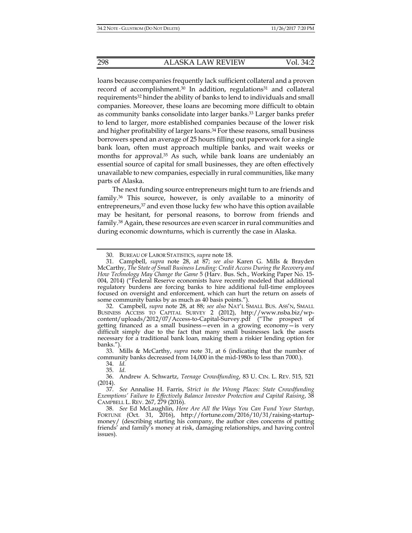loans because companies frequently lack sufficient collateral and a proven record of accomplishment.<sup>30</sup> In addition, regulations<sup>31</sup> and collateral requirements32 hinder the ability of banks to lend to individuals and small companies. Moreover, these loans are becoming more difficult to obtain as community banks consolidate into larger banks.33 Larger banks prefer to lend to larger, more established companies because of the lower risk and higher profitability of larger loans.<sup>34</sup> For these reasons, small business borrowers spend an average of 25 hours filling out paperwork for a single bank loan, often must approach multiple banks, and wait weeks or months for approval.35 As such, while bank loans are undeniably an essential source of capital for small businesses, they are often effectively unavailable to new companies, especially in rural communities, like many parts of Alaska.

The next funding source entrepreneurs might turn to are friends and family.36 This source, however, is only available to a minority of entrepreneurs, $37$  and even those lucky few who have this option available may be hesitant, for personal reasons, to borrow from friends and family.38 Again, these resources are even scarcer in rural communities and during economic downturns, which is currently the case in Alaska.

34. *Id.* 

35. *Id.*

 <sup>30.</sup> BUREAU OF LABOR STATISTICS, *supra* note 18.

 <sup>31.</sup> Campbell, *supra* note 28, at 87; *see also* Karen G. Mills & Brayden McCarthy, *The State of Small Business Lending: Credit Access During the Recovery and How Technology May Change the Game* 5 (Harv. Bus. Sch., Working Paper No. 15- 004, 2014) ("Federal Reserve economists have recently modeled that additional regulatory burdens are forcing banks to hire additional full-time employees focused on oversight and enforcement, which can hurt the return on assets of some community banks by as much as 40 basis points.").

 <sup>32.</sup> Campbell, *supra* note 28, at 88; *see also* NAT'L SMALL BUS. ASS'N, SMALL BUSINESS ACCESS TO CAPITAL SURVEY 2 (2012), http://www.nsba.biz/wpcontent/uploads/2012/07/Access-to-Capital-Survey.pdf ("The prospect of getting financed as a small business—even in a growing economy—is very difficult simply due to the fact that many small businesses lack the assets necessary for a traditional bank loan, making them a riskier lending option for banks.").

 <sup>33.</sup> Mills & McCarthy, *supra* note 31, at 6 (indicating that the number of community banks decreased from 14,000 in the mid-1980s to less than 7000.).

 <sup>36.</sup> Andrew A. Schwartz, *Teenage Crowdfunding*, 83 U. CIN. L. REV. 515, 521 (2014).

 <sup>37.</sup> *See* Annalise H. Farris, *Strict in the Wrong Places: State Crowdfunding Exemptions' Failure to Effectively Balance Investor Protection and Capital Raising*, 38 CAMPBELL L. REV. 267, 279 (2016).

 <sup>38.</sup> *See* Ed McLaughlin, *Here Are All the Ways You Can Fund Your Startup*, FORTUNE (Oct. 31, 2016), http://fortune.com/2016/10/31/raising-startupmoney/ (describing starting his company, the author cites concerns of putting friends' and family's money at risk, damaging relationships, and having control issues).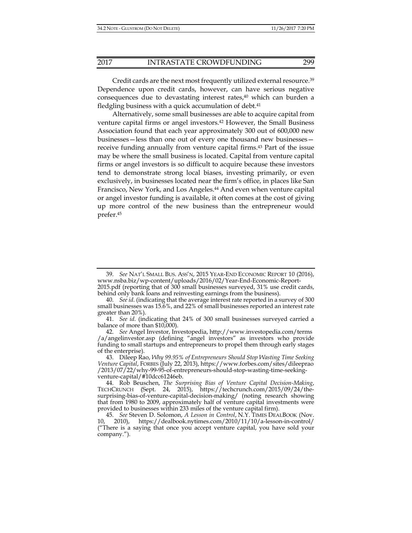Credit cards are the next most frequently utilized external resource.39 Dependence upon credit cards, however, can have serious negative consequences due to devastating interest rates,<sup>40</sup> which can burden a fledgling business with a quick accumulation of debt. $41$ 

Alternatively, some small businesses are able to acquire capital from venture capital firms or angel investors.42 However, the Small Business Association found that each year approximately 300 out of 600,000 new businesses—less than one out of every one thousand new businesses receive funding annually from venture capital firms.<sup>43</sup> Part of the issue may be where the small business is located. Capital from venture capital firms or angel investors is so difficult to acquire because these investors tend to demonstrate strong local biases, investing primarily, or even exclusively, in businesses located near the firm's office, in places like San Francisco, New York, and Los Angeles.<sup>44</sup> And even when venture capital or angel investor funding is available, it often comes at the cost of giving up more control of the new business than the entrepreneur would prefer.45

 <sup>39.</sup> *See* NAT'L SMALL BUS. ASS'N, 2015 YEAR-END ECONOMIC REPORT 10 (2016), www.nsba.biz/wp-content/uploads/2016/02/Year-End-Economic-Report-

<sup>2015.</sup>pdf (reporting that of 300 small businesses surveyed, 31% use credit cards, behind only bank loans and reinvesting earnings from the business).

 <sup>40.</sup> *See id*. (indicating that the average interest rate reported in a survey of 300 small businesses was 15.6%, and 22% of small businesses reported an interest rate greater than 20%).

 <sup>41.</sup> *See id*. (indicating that 24% of 300 small businesses surveyed carried a balance of more than \$10,000).

 <sup>42.</sup> *See* Angel Investor, Investopedia, http://www.investopedia.com/terms /a/angelinvestor.asp (defining "angel investors" as investors who provide funding to small startups and entrepreneurs to propel them through early stages of the enterprise).

 <sup>43.</sup> Dileep Rao, *Why 99.95% of Entrepreneurs Should Stop Wasting Time Seeking Venture Capital*, FORBES (July 22, 2013), https://www.forbes.com/sites/dileeprao /2013/07/22/why-99-95-of-entrepreneurs-should-stop-wasting-time-seekingventure-capital/#10dcc61246eb.

 <sup>44.</sup> Rob Beuschen, *The Surprising Bias of Venture Capital Decision-Making*, TECHCRUNCH (Sept. 24, 2015), https://techcrunch.com/2015/09/24/thesurprising-bias-of-venture-capital-decision-making/ (noting research showing that from 1980 to 2009, approximately half of venture capital investments were provided to businesses within 233 miles of the venture capital firm).

 <sup>45.</sup> *See* Steven D. Solomon, *A Lesson in Control*, N.Y. TIMES DEALBOOK (Nov. 10, 2010), https://dealbook.nytimes.com/2010/11/10/a-lesson-in-control/ ("There is a saying that once you accept venture capital, you have sold your company.").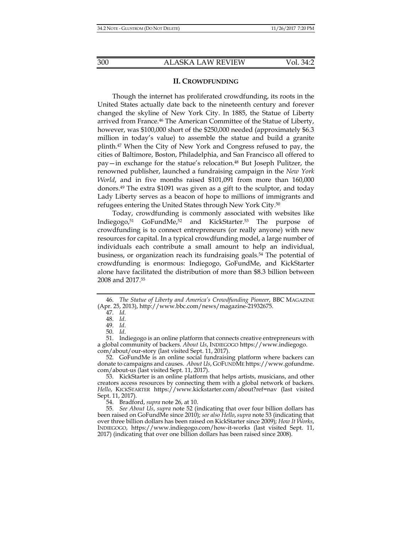#### **II. CROWDFUNDING**

Though the internet has proliferated crowdfunding, its roots in the United States actually date back to the nineteenth century and forever changed the skyline of New York City. In 1885, the Statue of Liberty arrived from France.46 The American Committee of the Statue of Liberty, however, was \$100,000 short of the \$250,000 needed (approximately \$6.3 million in today's value) to assemble the statue and build a granite plinth.47 When the City of New York and Congress refused to pay, the cities of Baltimore, Boston, Philadelphia, and San Francisco all offered to pay—in exchange for the statue's relocation.48 But Joseph Pulitzer, the renowned publisher, launched a fundraising campaign in the *New York World*, and in five months raised \$101,091 from more than 160,000 donors.49 The extra \$1091 was given as a gift to the sculptor, and today Lady Liberty serves as a beacon of hope to millions of immigrants and refugees entering the United States through New York City.50

Today, crowdfunding is commonly associated with websites like Indiegogo,<sup>51</sup> GoFundMe,<sup>52</sup> and KickStarter.<sup>53</sup> The purpose crowdfunding is to connect entrepreneurs (or really anyone) with new resources for capital. In a typical crowdfunding model, a large number of individuals each contribute a small amount to help an individual, business, or organization reach its fundraising goals.<sup>54</sup> The potential of crowdfunding is enormous: Indiegogo, GoFundMe, and KickStarter alone have facilitated the distribution of more than \$8.3 billion between 2008 and 2017.55

 <sup>46.</sup> *The Statue of Liberty and America's Crowdfunding Pioneer*, BBC MAGAZINE (Apr. 25, 2013), http://www.bbc.com/news/magazine-21932675.

 <sup>47.</sup> *Id.*

 <sup>48.</sup> *Id*.

 <sup>49.</sup> *Id*.

 <sup>50.</sup> *Id*.

 <sup>51.</sup> Indiegogo is an online platform that connects creative entrepreneurs with a global community of backers. *About Us*, INDIEGOGO https://www.indiegogo. com/about/our-story (last visited Sept. 11, 2017).

 <sup>52.</sup> GoFundMe is an online social fundraising platform where backers can donate to campaigns and causes. *About Us*, GOFUNDME https://www.gofundme. com/about-us (last visited Sept. 11, 2017).

 <sup>53.</sup> KickStarter is an online platform that helps artists, musicians, and other creators access resources by connecting them with a global network of backers. Hello, KICKSTARTER https://www.kickstarter.com/about?ref=nav (last visited Sept. 11, 2017).

 <sup>54.</sup> Bradford, *supra* note 26, at 10.

 <sup>55.</sup> *See About Us*, *supra* note 52 (indicating that over four billion dollars has been raised on GoFundMe since 2010); *see also Hello*,*supra* note 53 (indicating that over three billion dollars has been raised on KickStarter since 2009); *How It Works*, INDIEGOGO, https://www.indiegogo.com/how-it-works (last visited Sept. 11, 2017) (indicating that over one billion dollars has been raised since 2008).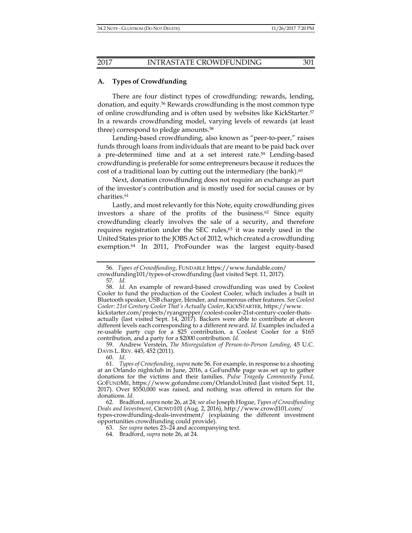#### **A. Types of Crowdfunding**

There are four distinct types of crowdfunding: rewards, lending, donation, and equity.56 Rewards crowdfunding is the most common type of online crowdfunding and is often used by websites like KickStarter.57 In a rewards crowdfunding model, varying levels of rewards (at least three) correspond to pledge amounts.58

Lending-based crowdfunding, also known as "peer-to-peer," raises funds through loans from individuals that are meant to be paid back over a pre-determined time and at a set interest rate.59 Lending-based crowdfunding is preferable for some entrepreneurs because it reduces the cost of a traditional loan by cutting out the intermediary (the bank).<sup>60</sup>

Next, donation crowdfunding does not require an exchange as part of the investor's contribution and is mostly used for social causes or by charities.61

Lastly, and most relevantly for this Note, equity crowdfunding gives investors a share of the profits of the business.62 Since equity crowdfunding clearly involves the sale of a security, and therefore requires registration under the SEC rules, $63$  it was rarely used in the United States prior to the JOBS Act of 2012, which created a crowdfunding exemption.64 In 2011, ProFounder was the largest equity-based

 <sup>56.</sup> *Types of Crowdfunding*, FUNDABLE https://www.fundable.com/

crowdfunding101/types-of-crowdfunding (last visited Sept. 11, 2017).

 <sup>57.</sup> *Id*.

 <sup>58.</sup> *Id*. An example of reward-based crowdfunding was used by Coolest Cooler to fund the production of the Coolest Cooler, which includes a built in Bluetooth speaker, USB charger, blender, and numerous other features. *See Coolest Cooler: 21st Century Cooler That's Actually Cooler*, KICKSTARTER, https://www.

kickstarter.com/projects/ryangrepper/coolest-cooler-21st-century-cooler-thatsactually (last visited Sept. 14, 2017). Backers were able to contribute at eleven different levels each corresponding to a different reward. *Id.* Examples included a re-usable party cup for a \$25 contribution, a Coolest Cooler for a \$165 contribution, and a party for a \$2000 contribution. *Id.*

 <sup>59.</sup> Andrew Verstein, *The Misregulation of Person-to-Person Lending*, 45 U.C. DAVIS L. REV. 445, 452 (2011).

 <sup>60.</sup> *Id*.

 <sup>61.</sup> *Types of Crowfunding*, *supra* note 56. For example, in response to a shooting at an Orlando nightclub in June, 2016, a GoFundMe page was set up to gather donations for the victims and their families. *Pulse Tragedy Community Fund*, GOFUNDME, https://www.gofundme.com/OrlandoUnited (last visited Sept. 11, 2017). Over \$550,000 was raised, and nothing was offered in return for the donations. *Id.*

 <sup>62.</sup> Bradford, *supra* note 26, at 24; *see also* Joseph Hogue, *Types of Crowdfunding Deals and Investment*, CROWD101 (Aug. 2, 2016), http://www.crowd101.com/ types-crowdfunding-deals-investment/ (explaining the different investment opportunities crowdfunding could provide).

 <sup>63.</sup> *See supra* notes 23–24 and accompanying text.

 <sup>64.</sup> Bradford, *supra* note 26, at 24.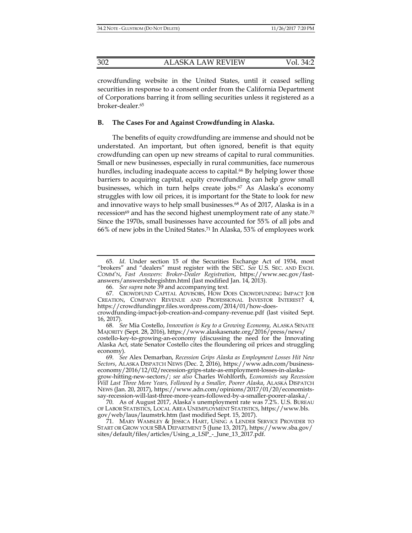crowdfunding website in the United States, until it ceased selling securities in response to a consent order from the California Department of Corporations barring it from selling securities unless it registered as a broker-dealer.65

# **B. The Cases For and Against Crowdfunding in Alaska.**

The benefits of equity crowdfunding are immense and should not be understated. An important, but often ignored, benefit is that equity crowdfunding can open up new streams of capital to rural communities. Small or new businesses, especially in rural communities, face numerous hurdles, including inadequate access to capital.<sup>66</sup> By helping lower those barriers to acquiring capital, equity crowdfunding can help grow small businesses, which in turn helps create jobs.67 As Alaska's economy struggles with low oil prices, it is important for the State to look for new and innovative ways to help small businesses.<sup>68</sup> As of 2017, Alaska is in a recession $^{69}$  and has the second highest unemployment rate of any state.<sup>70</sup> Since the 1970s, small businesses have accounted for 55% of all jobs and 66% of new jobs in the United States.71 In Alaska, 53% of employees work

 <sup>65.</sup> *Id*. Under section 15 of the Securities Exchange Act of 1934, most "brokers" and "dealers" must register with the SEC. *See* U.S. SEC. AND EXCH. COMM'N, *Fast Answers: Broker-Dealer Registration*, https://www.sec.gov/fastanswers/answersbdregishtm.html (last modified Jan. 14, 2013).

 <sup>66.</sup> *See supra* note 39 and accompanying text*.*

 <sup>67.</sup> CROWDFUND CAPITAL ADVISORS, HOW DOES CROWDFUNDING IMPACT JOB CREATION, COMPANY REVENUE AND PROFESSIONAL INVESTOR INTEREST? 4, https://crowdfundingpr.files.wordpress.com/2014/01/how-doescrowdfunding-impact-job-creation-and-company-revenue.pdf (last visited Sept.

<sup>16, 2017).</sup>  68. *See* Mia Costello, *Innovation is Key to a Growing Economy*, ALASKA SENATE MAJORITY (Sept. 28, 2016), https://www.alaskasenate.org/2016/press/news/

costello-key-to-growing-an-economy (discussing the need for the Innovating Alaska Act, state Senator Costello cites the floundering oil prices and struggling economy).

 <sup>69.</sup> *See* Alex Demarban, *Recession Grips Alaska as Employment Losses Hit New Sectors*, ALASKA DISPATCH NEWS (Dec. 2, 2016), https://www.adn.com/businesseconomy/2016/12/02/recession-grips-state-as-employment-losses-in-alaskagrow-hitting-new-sectors/; *see also* Charles Wohlforth, *Economists say Recession Will Last Three More Years, Followed by a Smaller, Poorer Alaska*, ALASKA DISPATCH NEWS (Jan. 20, 2017), https://www.adn.com/opinions/2017/01/20/economistssay-recession-will-last-three-more-years-followed-by-a-smaller-poorer-alaska/.

 <sup>70.</sup> As of August 2017, Alaska's unemployment rate was 7.2%. U.S. BUREAU OF LABOR STATISTICS, LOCAL AREA UNEMPLOYMENT STATISTICS, https://www.bls. gov/web/laus/laumstrk.htm (last modified Sept. 15, 2017).

 <sup>71.</sup> MARY WAMSLEY & JESSICA HART, USING A LENDER SERVICE PROVIDER TO START OR GROW YOUR SBA DEPARTMENT 5 (June 13, 2017), https://www.sba.gov/ sites/default/files/articles/Using\_a\_LSP\_-\_June\_13\_2017.pdf.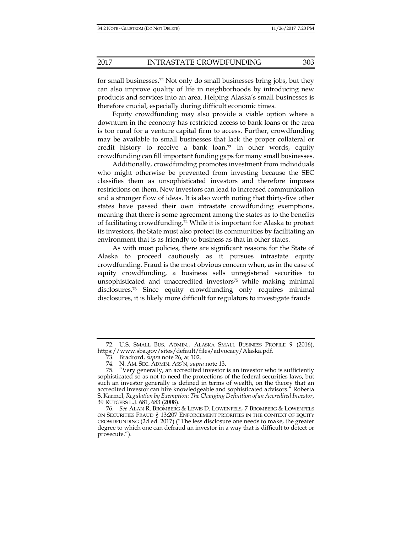for small businesses.72 Not only do small businesses bring jobs, but they can also improve quality of life in neighborhoods by introducing new products and services into an area. Helping Alaska's small businesses is therefore crucial, especially during difficult economic times.

Equity crowdfunding may also provide a viable option where a downturn in the economy has restricted access to bank loans or the area is too rural for a venture capital firm to access. Further, crowdfunding may be available to small businesses that lack the proper collateral or credit history to receive a bank loan.73 In other words, equity crowdfunding can fill important funding gaps for many small businesses.

Additionally, crowdfunding promotes investment from individuals who might otherwise be prevented from investing because the SEC classifies them as unsophisticated investors and therefore imposes restrictions on them. New investors can lead to increased communication and a stronger flow of ideas. It is also worth noting that thirty-five other states have passed their own intrastate crowdfunding exemptions, meaning that there is some agreement among the states as to the benefits of facilitating crowdfunding.74 While it is important for Alaska to protect its investors, the State must also protect its communities by facilitating an environment that is as friendly to business as that in other states.

As with most policies, there are significant reasons for the State of Alaska to proceed cautiously as it pursues intrastate equity crowdfunding. Fraud is the most obvious concern when, as in the case of equity crowdfunding, a business sells unregistered securities to unsophisticated and unaccredited investors $75$  while making minimal disclosures.76 Since equity crowdfunding only requires minimal disclosures, it is likely more difficult for regulators to investigate frauds

 <sup>72.</sup> U.S. SMALL BUS. ADMIN., ALASKA SMALL BUSINESS PROFILE 9 (2016), https://www.sba.gov/sites/default/files/advocacy/Alaska.pdf.

 <sup>73.</sup> Bradford, *supra* note 26, at 102.

 <sup>74.</sup> N. AM. SEC. ADMIN. ASS'N, *supra* note 13.

 <sup>75. &</sup>quot;Very generally, an accredited investor is an investor who is sufficiently sophisticated so as not to need the protections of the federal securities laws, but such an investor generally is defined in terms of wealth, on the theory that an accredited investor can hire knowledgeable and sophisticated advisors." Roberta S. Karmel, *Regulation by Exemption: The Changing Definition of an Accredited Investor*, 39 RUTGERS L.J. 681, 683 (2008).

 <sup>76.</sup> *See* ALAN R. BROMBERG & LEWIS D. LOWENFELS, 7 BROMBERG & LOWENFELS ON SECURITIES FRAUD § 13:207 ENFORCEMENT PRIORITIES IN THE CONTEXT OF EQUITY CROWDFUNDING (2d ed. 2017) ("The less disclosure one needs to make, the greater degree to which one can defraud an investor in a way that is difficult to detect or prosecute.").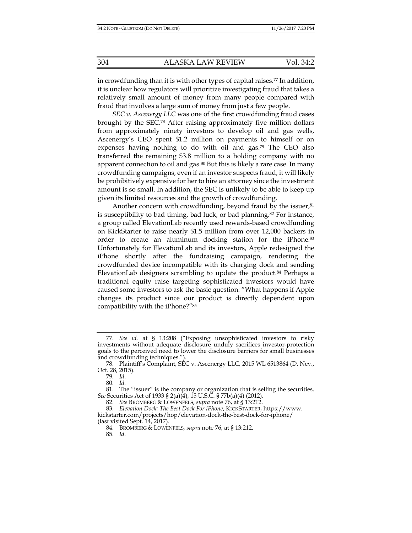in crowdfunding than it is with other types of capital raises.<sup>77</sup> In addition, it is unclear how regulators will prioritize investigating fraud that takes a relatively small amount of money from many people compared with fraud that involves a large sum of money from just a few people.

*SEC v. Ascenergy LLC* was one of the first crowdfunding fraud cases brought by the SEC.78 After raising approximately five million dollars from approximately ninety investors to develop oil and gas wells, Ascenergy's CEO spent \$1.2 million on payments to himself or on expenses having nothing to do with oil and gas.<sup>79</sup> The CEO also transferred the remaining \$3.8 million to a holding company with no apparent connection to oil and gas.<sup>80</sup> But this is likely a rare case. In many crowdfunding campaigns, even if an investor suspects fraud, it will likely be prohibitively expensive for her to hire an attorney since the investment amount is so small. In addition, the SEC is unlikely to be able to keep up given its limited resources and the growth of crowdfunding.

Another concern with crowdfunding, beyond fraud by the issuer, $81$ is susceptibility to bad timing, bad luck, or bad planning.82 For instance, a group called ElevationLab recently used rewards-based crowdfunding on KickStarter to raise nearly \$1.5 million from over 12,000 backers in order to create an aluminum docking station for the iPhone.<sup>83</sup> Unfortunately for ElevationLab and its investors, Apple redesigned the iPhone shortly after the fundraising campaign, rendering the crowdfunded device incompatible with its charging dock and sending ElevationLab designers scrambling to update the product.<sup>84</sup> Perhaps a traditional equity raise targeting sophisticated investors would have caused some investors to ask the basic question: "What happens if Apple changes its product since our product is directly dependent upon compatibility with the iPhone?"85

 <sup>77.</sup> *See id.* at § 13:208 ("Exposing unsophisticated investors to risky investments without adequate disclosure unduly sacrifices investor-protection goals to the perceived need to lower the disclosure barriers for small businesses and crowdfunding techniques.").

 <sup>78.</sup> Plaintiff's Complaint, SEC v. Ascenergy LLC*,* 2015 WL 6513864 (D. Nev., Oct. 28, 2015).

 <sup>79.</sup> *Id*.

 <sup>80.</sup> *Id.*

 <sup>81.</sup> The "issuer" is the company or organization that is selling the securities. *See* Securities Act of 1933 § 2(a)(4), 15 U.S.C. § 77b(a)(4) (2012).

 <sup>82.</sup> *See* BROMBERG & LOWENFELS, *supra* note 76, at § 13:212.

 <sup>83.</sup> *Elevation Dock: The Best Dock For iPhone*, KICKSTARTER, https://www. kickstarter.com/projects/hop/elevation-dock-the-best-dock-for-iphone/ (last visited Sept. 14, 2017).

 <sup>84.</sup> BROMBERG & LOWENFELS, *supra* note 76, at § 13:212.

 <sup>85.</sup> *Id*.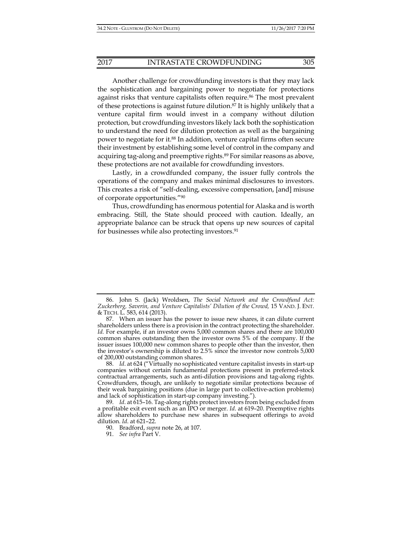Another challenge for crowdfunding investors is that they may lack the sophistication and bargaining power to negotiate for protections against risks that venture capitalists often require.<sup>86</sup> The most prevalent of these protections is against future dilution.87 It is highly unlikely that a venture capital firm would invest in a company without dilution protection, but crowdfunding investors likely lack both the sophistication to understand the need for dilution protection as well as the bargaining power to negotiate for it.88 In addition, venture capital firms often secure

their investment by establishing some level of control in the company and acquiring tag-along and preemptive rights.89 For similar reasons as above, these protections are not available for crowdfunding investors.

Lastly, in a crowdfunded company, the issuer fully controls the operations of the company and makes minimal disclosures to investors. This creates a risk of "self-dealing, excessive compensation, [and] misuse of corporate opportunities."90

Thus, crowdfunding has enormous potential for Alaska and is worth embracing. Still, the State should proceed with caution. Ideally, an appropriate balance can be struck that opens up new sources of capital for businesses while also protecting investors.91

 <sup>86.</sup> John S. (Jack) Wroldsen, *The Social Network and the Crowdfund Act: Zuckerberg, Saverin, and Venture Capitalists' Dilution of the Crowd,* 15 VAND. J. ENT. & TECH. L. 583, 614 (2013).

 <sup>87.</sup> When an issuer has the power to issue new shares, it can dilute current shareholders unless there is a provision in the contract protecting the shareholder. *Id.* For example, if an investor owns 5,000 common shares and there are 100,000 common shares outstanding then the investor owns 5% of the company. If the issuer issues 100,000 new common shares to people other than the investor, then the investor's ownership is diluted to 2.5% since the investor now controls 5,000 of 200,000 outstanding common shares.

 <sup>88.</sup> *Id*. at 624 ("Virtually no sophisticated venture capitalist invests in start-up companies without certain fundamental protections present in preferred-stock contractual arrangements, such as anti-dilution provisions and tag-along rights. Crowdfunders, though, are unlikely to negotiate similar protections because of their weak bargaining positions (due in large part to collective-action problems) and lack of sophistication in start-up company investing.").

 <sup>89.</sup> *Id*. at 615–16. Tag-along rights protect investors from being excluded from a profitable exit event such as an IPO or merger. *Id*. at 619–20. Preemptive rights allow shareholders to purchase new shares in subsequent offerings to avoid dilution. *Id*. at 621–22.

 <sup>90.</sup> Bradford, *supra* note 26, at 107.

 <sup>91.</sup> *See infra* Part V.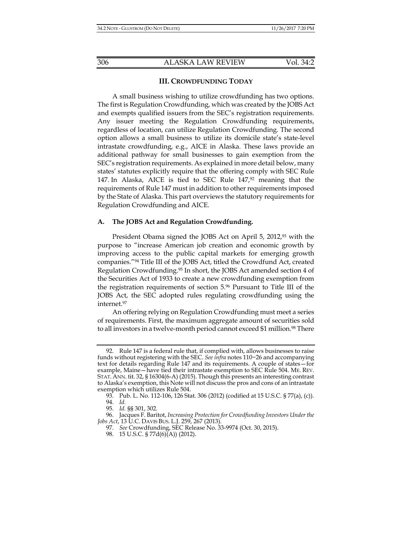#### **III. CROWDFUNDING TODAY**

A small business wishing to utilize crowdfunding has two options. The first is Regulation Crowdfunding, which was created by the JOBS Act and exempts qualified issuers from the SEC's registration requirements. Any issuer meeting the Regulation Crowdfunding requirements, regardless of location, can utilize Regulation Crowdfunding. The second option allows a small business to utilize its domicile state's state-level intrastate crowdfunding, e.g., AICE in Alaska. These laws provide an additional pathway for small businesses to gain exemption from the SEC's registration requirements. As explained in more detail below, many states' statutes explicitly require that the offering comply with SEC Rule 147. In Alaska, AICE is tied to SEC Rule 147,92 meaning that the requirements of Rule 147 must in addition to other requirements imposed by the State of Alaska. This part overviews the statutory requirements for Regulation Crowdfunding and AICE.

#### **A. The JOBS Act and Regulation Crowdfunding.**

President Obama signed the JOBS Act on April 5, 2012,<sup>93</sup> with the purpose to "increase American job creation and economic growth by improving access to the public capital markets for emerging growth companies."94 Title III of the JOBS Act, titled the Crowdfund Act, created Regulation Crowdfunding.95 In short, the JOBS Act amended section 4 of the Securities Act of 1933 to create a new crowdfunding exemption from the registration requirements of section 5.96 Pursuant to Title III of the JOBS Act, the SEC adopted rules regulating crowdfunding using the internet.97

An offering relying on Regulation Crowdfunding must meet a series of requirements. First, the maximum aggregate amount of securities sold to all investors in a twelve-month period cannot exceed \$1 million.<sup>98</sup> There

 <sup>92.</sup> Rule 147 is a federal rule that, if complied with, allows businesses to raise funds without registering with the SEC. *See infra* notes 110−26 and accompanying text for details regarding Rule 147 and its requirements. A couple of states—for example, Maine—have tied their intrastate exemption to SEC Rule 504. ME. REV. STAT. ANN. tit. 32, § 16304(6-A) (2015). Though this presents an interesting contrast to Alaska's exemption, this Note will not discuss the pros and cons of an intrastate exemption which utilizes Rule 504.

 <sup>93.</sup> Pub. L. No. 112-106, 126 Stat. 306 (2012) (codified at 15 U.S.C. § 77(a), (c)). 94. *Id.*

 <sup>95.</sup> *Id.* §§ 301, 302.

 <sup>96.</sup> Jacques F. Baritot, *Increasing Protection for Crowdfunding Investors Under the Jobs Act*, 13 U.C. DAVIS BUS. L.J. 259, 267 (2013).

 <sup>97.</sup> *See* Crowdfunding, SEC Release No. 33-9974 (Oct. 30, 2015).

<sup>98. 15</sup> U.S.C. § 77d(6)(A)) (2012).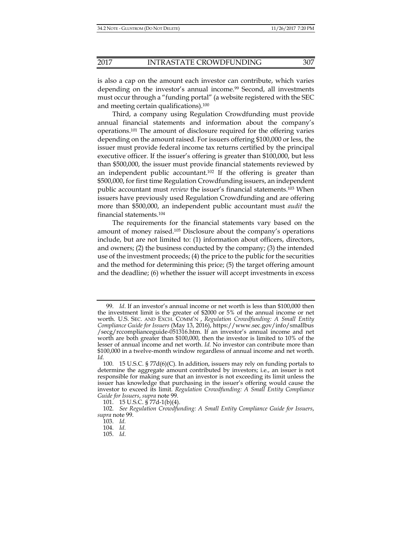is also a cap on the amount each investor can contribute, which varies depending on the investor's annual income.<sup>99</sup> Second, all investments must occur through a "funding portal" (a website registered with the SEC and meeting certain qualifications).100

Third, a company using Regulation Crowdfunding must provide annual financial statements and information about the company's operations.101 The amount of disclosure required for the offering varies depending on the amount raised. For issuers offering \$100,000 or less, the issuer must provide federal income tax returns certified by the principal executive officer. If the issuer's offering is greater than \$100,000, but less than \$500,000, the issuer must provide financial statements reviewed by an independent public accountant.102 If the offering is greater than \$500,000, for first time Regulation Crowdfunding issuers, an independent public accountant must *review* the issuer's financial statements.103 When issuers have previously used Regulation Crowdfunding and are offering more than \$500,000, an independent public accountant must *audit* the financial statements.104

The requirements for the financial statements vary based on the amount of money raised.105 Disclosure about the company's operations include, but are not limited to: (1) information about officers, directors, and owners; (2) the business conducted by the company; (3) the intended use of the investment proceeds; (4) the price to the public for the securities and the method for determining this price; (5) the target offering amount and the deadline; (6) whether the issuer will accept investments in excess

 <sup>99.</sup> *Id*. If an investor's annual income or net worth is less than \$100,000 then the investment limit is the greater of \$2000 or 5% of the annual income or net worth. U.S. SEC. AND EXCH. COMM'N , *Regulation Crowdfunding: A Small Entity Compliance Guide for Issuers* (May 13, 2016), https://www.sec.gov/info/smallbus /secg/rccomplianceguide-051316.htm. If an investor's annual income and net worth are both greater than \$100,000, then the investor is limited to 10% of the lesser of annual income and net worth. *Id.* No investor can contribute more than \$100,000 in a twelve-month window regardless of annual income and net worth. *Id.*

 <sup>100. 15</sup> U.S.C. § 77d(6)(C). In addition, issuers may rely on funding portals to determine the aggregate amount contributed by investors; i.e., an issuer is not responsible for making sure that an investor is not exceeding its limit unless the issuer has knowledge that purchasing in the issuer's offering would cause the investor to exceed its limit. *Regulation Crowdfunding: A Small Entity Compliance Guide for Issuers*, *supra* note 99.

 <sup>101. 15</sup> U.S.C. § 77d-1(b)(4).

 <sup>102.</sup> *See Regulation Crowdfunding: A Small Entity Compliance Guide for Issuers*, *supra* note 99.

 <sup>103.</sup> *Id.*

 <sup>104.</sup> *Id.*

 <sup>105.</sup> *Id*.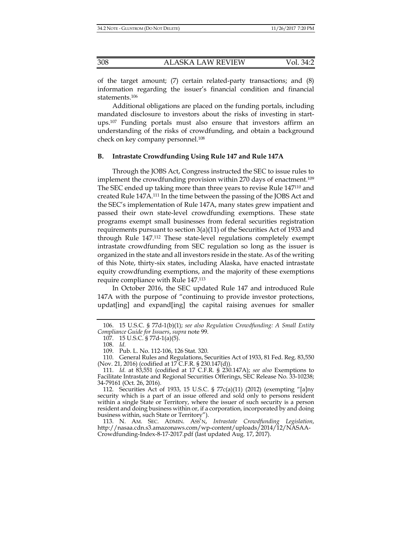of the target amount; (7) certain related-party transactions; and (8) information regarding the issuer's financial condition and financial statements.106

Additional obligations are placed on the funding portals, including mandated disclosure to investors about the risks of investing in startups.107 Funding portals must also ensure that investors affirm an understanding of the risks of crowdfunding, and obtain a background check on key company personnel.108

## **B. Intrastate Crowdfunding Using Rule 147 and Rule 147A**

Through the JOBS Act, Congress instructed the SEC to issue rules to implement the crowdfunding provision within 270 days of enactment.109 The SEC ended up taking more than three years to revise Rule 147110 and created Rule 147A.111 In the time between the passing of the JOBS Act and the SEC's implementation of Rule 147A, many states grew impatient and passed their own state-level crowdfunding exemptions. These state programs exempt small businesses from federal securities registration requirements pursuant to section  $3(a)(11)$  of the Securities Act of 1933 and through Rule 147.112 These state-level regulations completely exempt intrastate crowdfunding from SEC regulation so long as the issuer is organized in the state and all investors reside in the state. As of the writing of this Note, thirty-six states, including Alaska, have enacted intrastate equity crowdfunding exemptions, and the majority of these exemptions require compliance with Rule 147.113

In October 2016, the SEC updated Rule 147 and introduced Rule 147A with the purpose of "continuing to provide investor protections, updat[ing] and expand[ing] the capital raising avenues for smaller

 <sup>106. 15</sup> U.S.C. § 77d-1(b)(1); *see also Regulation Crowdfunding: A Small Entity Compliance Guide for Issuers*, *supra* note 99.

 <sup>107. 15</sup> U.S.C. § 77d-1(a)(5).

 <sup>108.</sup> *Id.*

 <sup>109.</sup> Pub. L. No. 112-106, 126 Stat. 320.

 <sup>110.</sup> General Rules and Regulations, Securities Act of 1933, 81 Fed. Reg. 83,550 (Nov. 21, 2016) (codified at 17 C.F.R. § 230.147(d)).

 <sup>111.</sup> *Id.* at 83,551 (codified at 17 C.F.R. § 230.147A); *see also* Exemptions to Facilitate Intrastate and Regional Securities Offerings, SEC Release No. 33-10238; 34-79161 (Oct. 26, 2016).

 <sup>112.</sup> Securities Act of 1933, 15 U.S.C. § 77c(a)(11) (2012) (exempting "[a]ny security which is a part of an issue offered and sold only to persons resident within a single State or Territory, where the issuer of such security is a person resident and doing business within or, if a corporation, incorporated by and doing business within, such State or Territory").

 <sup>113.</sup> N. AM. SEC. ADMIN. ASS'N, *Intrastate Crowdfunding Legislation*, http://nasaa.cdn.s3.amazonaws.com/wp-content/uploads/2014/12/NASAA-Crowdfunding-Index-8-17-2017.pdf (last updated Aug. 17, 2017).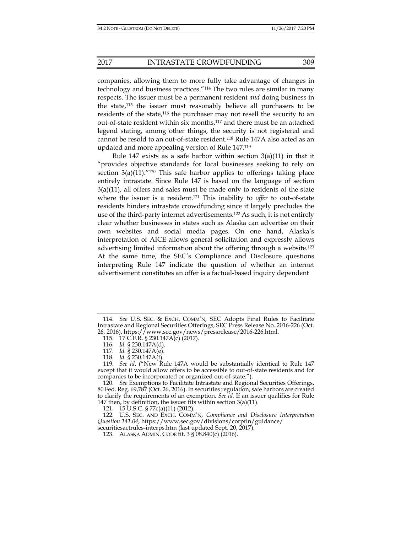# 2017 INTRASTATE CROWDFUNDING 309

companies, allowing them to more fully take advantage of changes in technology and business practices."114 The two rules are similar in many respects. The issuer must be a permanent resident *and* doing business in the state,115 the issuer must reasonably believe all purchasers to be residents of the state,<sup>116</sup> the purchaser may not resell the security to an out-of-state resident within six months,<sup>117</sup> and there must be an attached legend stating, among other things, the security is not registered and cannot be resold to an out-of-state resident.118 Rule 147A also acted as an updated and more appealing version of Rule 147.119

Rule 147 exists as a safe harbor within section 3(a)(11) in that it "provides objective standards for local businesses seeking to rely on section  $3(a)(11)$ ."<sup>120</sup> This safe harbor applies to offerings taking place entirely intrastate. Since Rule 147 is based on the language of section  $3(a)(11)$ , all offers and sales must be made only to residents of the state where the issuer is a resident.121 This inability to *offer* to out-of-state residents hinders intrastate crowdfunding since it largely precludes the use of the third-party internet advertisements.122 As such, it is not entirely clear whether businesses in states such as Alaska can advertise on their own websites and social media pages. On one hand, Alaska's interpretation of AICE allows general solicitation and expressly allows advertising limited information about the offering through a website.123 At the same time, the SEC's Compliance and Disclosure questions interpreting Rule 147 indicate the question of whether an internet advertisement constitutes an offer is a factual-based inquiry dependent

121. 15 U.S.C. § 77c(a)(11) (2012).

 122. U.S. SEC. AND EXCH. COMM'N, *Compliance and Disclosure Interpretation Question 141.04*, https://www.sec.gov/divisions/corpfin/guidance/ securities actrules-interps.htm (last updated Sept. 20, 2017).

 <sup>114.</sup> *See* U.S. SEC. & EXCH. COMM'N, SEC Adopts Final Rules to Facilitate Intrastate and Regional Securities Offerings, SEC Press Release No. 2016-226 (Oct. 26, 2016), https://www.sec.gov/news/pressrelease/2016-226.html.

 <sup>115. 17</sup> C.F.R. § 230.147A(c) (2017).

 <sup>116.</sup> *Id.* § 230.147A(d).

 <sup>117.</sup> *Id.* § 230.147A(e).

 <sup>118.</sup> *Id.* § 230.147A(f).

<sup>119.</sup> *See id.* ("New Rule 147A would be substantially identical to Rule 147 except that it would allow offers to be accessible to out-of-state residents and for companies to be incorporated or organized out-of-state.").

 <sup>120.</sup> *See* Exemptions to Facilitate Intrastate and Regional Securities Offerings, 80 Fed. Reg. 69,787 (Oct. 26, 2016). In securities regulation, safe harbors are created to clarify the requirements of an exemption. *See id.* If an issuer qualifies for Rule 147 then, by definition, the issuer fits within section 3(a)(11).

 <sup>123.</sup> ALASKA ADMIN. CODE tit. 3 § 08.840(c) (2016).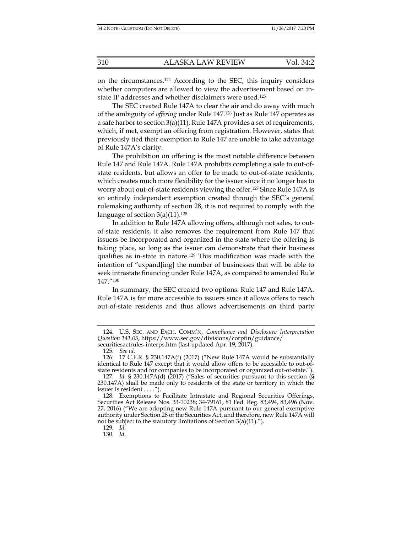on the circumstances.124 According to the SEC, this inquiry considers whether computers are allowed to view the advertisement based on instate IP addresses and whether disclaimers were used.125

The SEC created Rule 147A to clear the air and do away with much of the ambiguity of *offering* under Rule 147.126 Just as Rule 147 operates as a safe harbor to section 3(a)(11), Rule 147A provides a set of requirements, which, if met, exempt an offering from registration. However, states that previously tied their exemption to Rule 147 are unable to take advantage of Rule 147A's clarity.

The prohibition on offering is the most notable difference between Rule 147 and Rule 147A. Rule 147A prohibits completing a sale to out-ofstate residents, but allows an offer to be made to out-of-state residents, which creates much more flexibility for the issuer since it no longer has to worry about out-of-state residents viewing the offer.127 Since Rule 147A is an entirely independent exemption created through the SEC's general rulemaking authority of section 28, it is not required to comply with the language of section  $3(a)(11).^{128}$ 

In addition to Rule 147A allowing offers, although not sales, to outof-state residents, it also removes the requirement from Rule 147 that issuers be incorporated and organized in the state where the offering is taking place, so long as the issuer can demonstrate that their business qualifies as in-state in nature.129 This modification was made with the intention of "expand[ing] the number of businesses that will be able to seek intrastate financing under Rule 147A, as compared to amended Rule 147."130

In summary, the SEC created two options: Rule 147 and Rule 147A. Rule 147A is far more accessible to issuers since it allows offers to reach out-of-state residents and thus allows advertisements on third party

129. *Id.*

130. *Id.*

 <sup>124.</sup> U.S. SEC. AND EXCH. COMM'N, *Compliance and Disclosure Interpretation Question 141.05*, https://www.sec.gov/divisions/corpfin/guidance/

securitiesactrules-interps.htm (last updated Apr. 19, 2017).

 <sup>125.</sup> *See id*.

 <sup>126. 17</sup> C.F.R. § 230.147A(f) (2017) ("New Rule 147A would be substantially identical to Rule 147 except that it would allow offers to be accessible to out-ofstate residents and for companies to be incorporated or organized out-of-state.").

 <sup>127.</sup> *Id.* § 230.147A(d) (2017) ("Sales of securities pursuant to this section (§ 230.147A) shall be made only to residents of the state or territory in which the issuer is resident . . . .").

 <sup>128.</sup> Exemptions to Facilitate Intrastate and Regional Securities Offerings, Securities Act Release Nos. 33-10238; 34-79161, 81 Fed. Reg. 83,494, 83,496 (Nov. 27, 2016) ("We are adopting new Rule 147A pursuant to our general exemptive authority under Section 28 of the Securities Act, and therefore, new Rule 147A will not be subject to the statutory limitations of Section 3(a)(11).").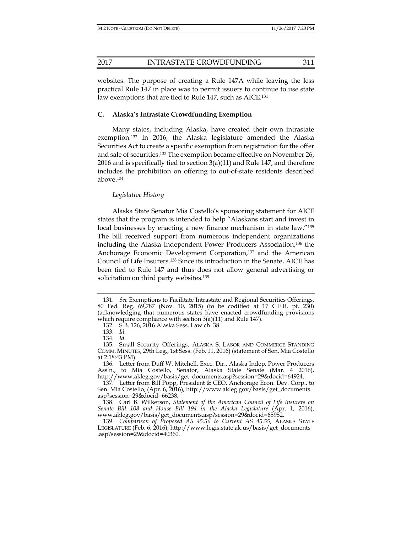# 2017 INTRASTATE CROWDFUNDING 311

websites. The purpose of creating a Rule 147A while leaving the less practical Rule 147 in place was to permit issuers to continue to use state law exemptions that are tied to Rule 147, such as AICE.<sup>131</sup>

#### **C. Alaska's Intrastate Crowdfunding Exemption**

Many states, including Alaska, have created their own intrastate exemption.132 In 2016, the Alaska legislature amended the Alaska Securities Act to create a specific exemption from registration for the offer and sale of securities.133 The exemption became effective on November 26, 2016 and is specifically tied to section  $3(a)(11)$  and Rule 147, and therefore includes the prohibition on offering to out-of-state residents described above.134

#### *Legislative History*

Alaska State Senator Mia Costello's sponsoring statement for AICE states that the program is intended to help "Alaskans start and invest in local businesses by enacting a new finance mechanism in state law."<sup>135</sup> The bill received support from numerous independent organizations including the Alaska Independent Power Producers Association,136 the Anchorage Economic Development Corporation,<sup>137</sup> and the American Council of Life Insurers.138 Since its introduction in the Senate, AICE has been tied to Rule 147 and thus does not allow general advertising or solicitation on third party websites.<sup>139</sup>

 <sup>131.</sup> *See* Exemptions to Facilitate Intrastate and Regional Securities Offerings, 80 Fed. Reg. 69,787 (Nov. 10, 2015) (to be codified at 17 C.F.R. pt. 230) (acknowledging that numerous states have enacted crowdfunding provisions which require compliance with section 3(a)(11) and Rule 147).

 <sup>132.</sup> S.B. 126, 2016 Alaska Sess. Law ch. 38.

 <sup>133.</sup> *Id.*

 <sup>134.</sup> *Id.*

 <sup>135.</sup> Small Security Offerings, ALASKA S. LABOR AND COMMERCE STANDING COMM. MINUTES, 29th Leg., 1st Sess. (Feb. 11, 2016) (statement of Sen. Mia Costello at 2:18:43 PM).

 <sup>136.</sup> Letter from Duff W. Mitchell, Exec. Dir., Alaska Indep. Power Producers Ass'n., to Mia Costello, Senator, Alaska State Senate (Mar. 4 2016), http://www.akleg.gov/basis/get\_documents.asp?session=29&docid=64924.

 <sup>137.</sup> Letter from Bill Popp, President & CEO, Anchorage Econ. Dev. Corp., to Sen. Mia Costello, (Apr. 6, 2016), http://www.akleg.gov/basis/get\_documents. asp?session=29&docid=66238.

 <sup>138.</sup> Carl B. Wilkerson, *Statement of the American Council of Life Insurers on Senate Bill 108 and House Bill 194 in the Alaska Legislature* (Apr. 1, 2016), www.akleg.gov/basis/get\_documents.asp?session=29&docid=65952.

 <sup>139.</sup> *Comparison of Proposed AS 45.56 to Current AS 45.55*, ALASKA STATE LEGISLATURE (Feb. 6, 2016), http://www.legis.state.ak.us/basis/get\_documents .asp?session=29&docid=40360.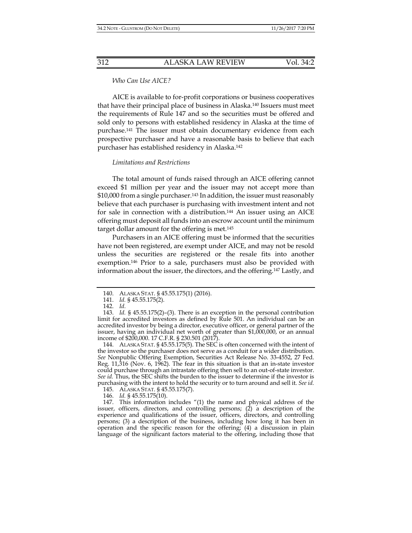*Who Can Use AICE?* 

AICE is available to for-profit corporations or business cooperatives that have their principal place of business in Alaska.140 Issuers must meet the requirements of Rule 147 and so the securities must be offered and sold only to persons with established residency in Alaska at the time of purchase.141 The issuer must obtain documentary evidence from each prospective purchaser and have a reasonable basis to believe that each purchaser has established residency in Alaska.142

#### *Limitations and Restrictions*

The total amount of funds raised through an AICE offering cannot exceed \$1 million per year and the issuer may not accept more than \$10,000 from a single purchaser.<sup>143</sup> In addition, the issuer must reasonably believe that each purchaser is purchasing with investment intent and not for sale in connection with a distribution.144 An issuer using an AICE offering must deposit all funds into an escrow account until the minimum target dollar amount for the offering is met.145

Purchasers in an AICE offering must be informed that the securities have not been registered, are exempt under AICE, and may not be resold unless the securities are registered or the resale fits into another exemption.146 Prior to a sale, purchasers must also be provided with information about the issuer, the directors, and the offering.147 Lastly, and

 144. ALASKA STAT. § 45.55.175(5). The SEC is often concerned with the intent of the investor so the purchaser does not serve as a conduit for a wider distribution. *See* Nonpublic Offering Exemption, Securities Act Release No. 33-4552, 27 Fed. Reg. 11,316 (Nov. 6, 1962). The fear in this situation is that an in-state investor could purchase through an intrastate offering then sell to an out-of-state investor. *See id.* Thus, the SEC shifts the burden to the issuer to determine if the investor is purchasing with the intent to hold the security or to turn around and sell it. *See id.*

145. ALASKA STAT. § 45.55.175(7).

146. *Id.* § 45.55.175(10).

 147. This information includes "(1) the name and physical address of the issuer, officers, directors, and controlling persons; (2) a description of the experience and qualifications of the issuer, officers, directors, and controlling persons; (3) a description of the business, including how long it has been in operation and the specific reason for the offering; (4) a discussion in plain language of the significant factors material to the offering, including those that

 <sup>140.</sup> ALASKA STAT. § 45.55.175(1) (2016).

 <sup>141.</sup> *Id.* § 45.55.175(2).

 <sup>142.</sup> *Id.*

 <sup>143.</sup> *Id.* § 45.55.175(2)–(3). There is an exception in the personal contribution limit for accredited investors as defined by Rule 501. An individual can be an accredited investor by being a director, executive officer, or general partner of the issuer, having an individual net worth of greater than \$1,000,000, or an annual income of \$200,000. 17 C.F.R. § 230.501 (2017).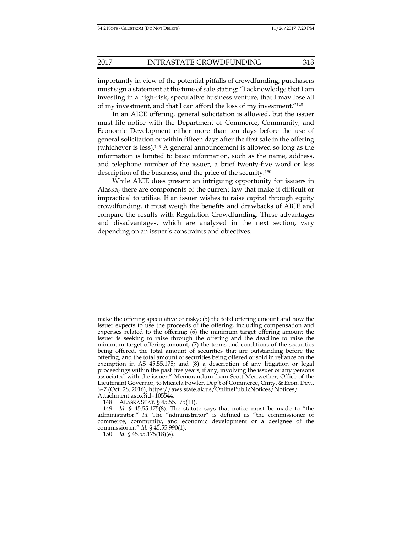importantly in view of the potential pitfalls of crowdfunding, purchasers must sign a statement at the time of sale stating: "I acknowledge that I am investing in a high-risk, speculative business venture, that I may lose all of my investment, and that I can afford the loss of my investment."148

In an AICE offering, general solicitation is allowed, but the issuer must file notice with the Department of Commerce, Community, and Economic Development either more than ten days before the use of general solicitation or within fifteen days after the first sale in the offering (whichever is less).149 A general announcement is allowed so long as the information is limited to basic information, such as the name, address, and telephone number of the issuer, a brief twenty-five word or less description of the business, and the price of the security.150

While AICE does present an intriguing opportunity for issuers in Alaska, there are components of the current law that make it difficult or impractical to utilize. If an issuer wishes to raise capital through equity crowdfunding, it must weigh the benefits and drawbacks of AICE and compare the results with Regulation Crowdfunding. These advantages and disadvantages, which are analyzed in the next section, vary depending on an issuer's constraints and objectives.

148. ALASKA STAT. § 45.55.175(11).

make the offering speculative or risky; (5) the total offering amount and how the issuer expects to use the proceeds of the offering, including compensation and expenses related to the offering; (6) the minimum target offering amount the issuer is seeking to raise through the offering and the deadline to raise the minimum target offering amount; (7) the terms and conditions of the securities being offered, the total amount of securities that are outstanding before the offering, and the total amount of securities being offered or sold in reliance on the exemption in AS 45.55.175; and (8) a description of any litigation or legal proceedings within the past five years, if any, involving the issuer or any persons associated with the issuer." Memorandum from Scott Meriwether, Office of the Lieutenant Governor, to Micaela Fowler, Dep't of Commerce, Cmty. & Econ. Dev., 6-7 (Oct. 28, 2016), https://aws.state.ak.us/OnlinePublicNotices/Notices/ Attachment.aspx?id=105544.

 <sup>149.</sup> *Id.* § 45.55.175(8). The statute says that notice must be made to "the administrator." *Id.* The "administrator" is defined as "the commissioner of commerce, community, and economic development or a designee of the commissioner." *Id.* § 45.55.990(1).

 <sup>150.</sup> *Id.* § 45.55.175(18)(e).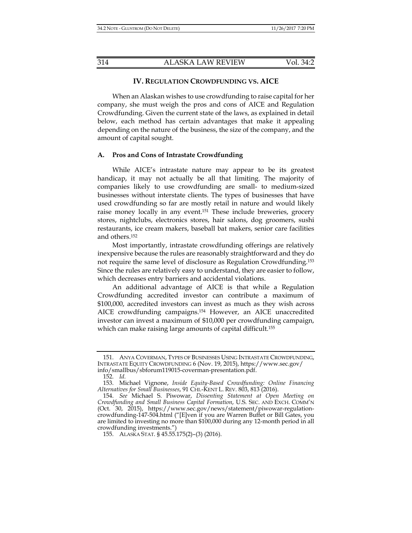#### **IV. REGULATION CROWDFUNDING VS. AICE**

When an Alaskan wishes to use crowdfunding to raise capital for her company, she must weigh the pros and cons of AICE and Regulation Crowdfunding. Given the current state of the laws, as explained in detail below, each method has certain advantages that make it appealing depending on the nature of the business, the size of the company, and the amount of capital sought.

#### **A. Pros and Cons of Intrastate Crowdfunding**

While AICE's intrastate nature may appear to be its greatest handicap, it may not actually be all that limiting. The majority of companies likely to use crowdfunding are small- to medium-sized businesses without interstate clients. The types of businesses that have used crowdfunding so far are mostly retail in nature and would likely raise money locally in any event.<sup>151</sup> These include breweries, grocery stores, nightclubs, electronics stores, hair salons, dog groomers, sushi restaurants, ice cream makers, baseball bat makers, senior care facilities and others.152

Most importantly, intrastate crowdfunding offerings are relatively inexpensive because the rules are reasonably straightforward and they do not require the same level of disclosure as Regulation Crowdfunding.153 Since the rules are relatively easy to understand, they are easier to follow, which decreases entry barriers and accidental violations.

An additional advantage of AICE is that while a Regulation Crowdfunding accredited investor can contribute a maximum of \$100,000, accredited investors can invest as much as they wish across AICE crowdfunding campaigns.154 However, an AICE unaccredited investor can invest a maximum of \$10,000 per crowdfunding campaign, which can make raising large amounts of capital difficult.<sup>155</sup>

 <sup>151.</sup> ANYA COVERMAN, TYPES OF BUSINESSES USING INTRASTATE CROWDFUNDING, INTRASTATE EQUITY CROWDFUNDING 6 (Nov. 19, 2015), https://www.sec.gov/ info/smallbus/sbforum119015-coverman-presentation.pdf.

 <sup>152.</sup> *Id.*

 <sup>153.</sup> Michael Vignone, *Inside Equity-Based Crowdfunding: Online Financing Alternatives for Small Businesses*, 91 CHI.-KENT L. REV. 803, 813 (2016).

 <sup>154.</sup> *See* Michael S. Piwowar, *Dissenting Statement at Open Meeting on Crowdfunding and Small Business Capital Formation*, U.S. SEC. AND EXCH. COMM'N (Oct. 30, 2015), https://www.sec.gov/news/statement/piwowar-regulationcrowdfunding-147-504.html ("[E]ven if you are Warren Buffet or Bill Gates, you are limited to investing no more than \$100,000 during any 12-month period in all crowdfunding investments.")

 <sup>155.</sup> ALASKA STAT. § 45.55.175(2)–(3) (2016).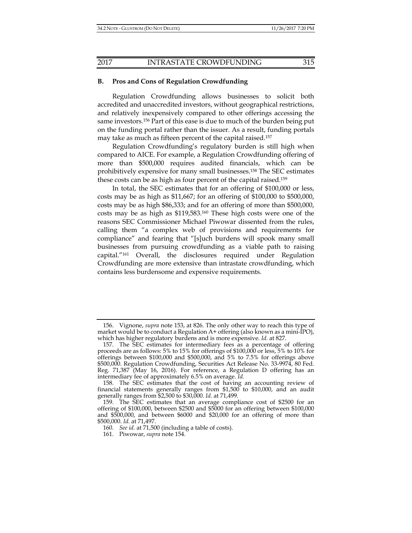#### **B. Pros and Cons of Regulation Crowdfunding**

Regulation Crowdfunding allows businesses to solicit both accredited and unaccredited investors, without geographical restrictions, and relatively inexpensively compared to other offerings accessing the same investors.156 Part of this ease is due to much of the burden being put on the funding portal rather than the issuer. As a result, funding portals may take as much as fifteen percent of the capital raised.157

Regulation Crowdfunding's regulatory burden is still high when compared to AICE. For example, a Regulation Crowdfunding offering of more than \$500,000 requires audited financials, which can be prohibitively expensive for many small businesses.158 The SEC estimates these costs can be as high as four percent of the capital raised.159

In total, the SEC estimates that for an offering of \$100,000 or less, costs may be as high as \$11,667; for an offering of \$100,000 to \$500,000, costs may be as high \$86,333; and for an offering of more than \$500,000, costs may be as high as \$119,583.160 These high costs were one of the reasons SEC Commissioner Michael Piwowar dissented from the rules, calling them "a complex web of provisions and requirements for compliance" and fearing that "[s]uch burdens will spook many small businesses from pursuing crowdfunding as a viable path to raising capital."161 Overall, the disclosures required under Regulation Crowdfunding are more extensive than intrastate crowdfunding, which contains less burdensome and expensive requirements.

 <sup>156.</sup> Vignone, *supra* note 153, at 826. The only other way to reach this type of market would be to conduct a Regulation  $A+$  offering (also known as a mini-IPO), which has higher regulatory burdens and is more expensive. *Id.* at 827.

 <sup>157.</sup> The SEC estimates for intermediary fees as a percentage of offering proceeds are as follows: 5% to 15% for offerings of \$100,000 or less, 5% to 10% for offerings between \$100,000 and \$500,000, and 5% to 7.5% for offerings above \$500,000. Regulation Crowdfunding, Securities Act Release No. 33-9974, 80 Fed. Reg. 71,387 (May 16, 2016). For reference, a Regulation D offering has an intermediary fee of approximately 6.5% on average. *Id.*

 <sup>158.</sup> The SEC estimates that the cost of having an accounting review of financial statements generally ranges from \$1,500 to \$10,000, and an audit generally ranges from \$2,500 to \$30,000. *Id.* at 71,499.

 <sup>159.</sup> The SEC estimates that an average compliance cost of \$2500 for an offering of \$100,000, between \$2500 and \$5000 for an offering between \$100,000 and \$500,000, and between \$6000 and \$20,000 for an offering of more than \$500,000. *Id.* at 71,497.

 <sup>160.</sup> *See id.* at 71,500 (including a table of costs).

 <sup>161.</sup> Piwowar, *supra* note 154.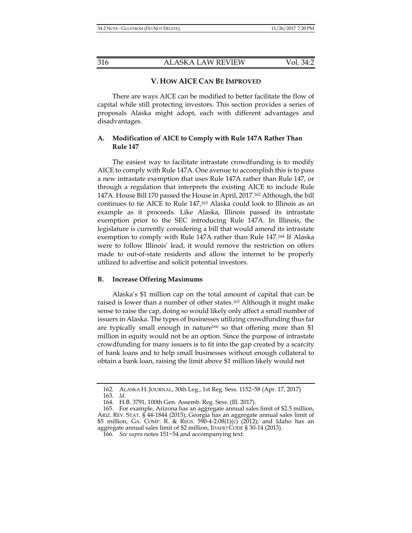#### **V. HOW AICE CAN BE IMPROVED**

There are ways AICE can be modified to better facilitate the flow of capital while still protecting investors. This section provides a series of proposals Alaska might adopt, each with different advantages and disadvantages.

# **A. Modification of AICE to Comply with Rule 147A Rather Than Rule 147**

The easiest way to facilitate intrastate crowdfunding is to modify AICE to comply with Rule 147A. One avenue to accomplish this is to pass a new intrastate exemption that uses Rule 147A rather than Rule 147, or through a regulation that interprets the existing AICE to include Rule 147A. House Bill 170 passed the House in April, 2017.162 Although, the bill continues to tie AICE to Rule 147,163 Alaska could look to Illinois as an example as it proceeds. Like Alaska, Illinois passed its intrastate exemption prior to the SEC introducing Rule 147A. In Illinois, the legislature is currently considering a bill that would amend its intrastate exemption to comply with Rule 147A rather than Rule 147.<sup>164</sup> If Alaska were to follow Illinois' lead, it would remove the restriction on offers made to out-of-state residents and allow the internet to be properly utilized to advertise and solicit potential investors.

#### **B. Increase Offering Maximums**

Alaska's \$1 million cap on the total amount of capital that can be raised is lower than a number of other states.165 Although it might make sense to raise the cap, doing so would likely only affect a small number of issuers in Alaska. The types of businesses utilizing crowdfunding thus far are typically small enough in nature<sup>166</sup> so that offering more than  $$1$ million in equity would not be an option. Since the purpose of intrastate crowdfunding for many issuers is to fit into the gap created by a scarcity of bank loans and to help small businesses without enough collateral to obtain a bank loan, raising the limit above \$1 million likely would not

 <sup>162.</sup> ALASKA H. JOURNAL, 30th Leg., 1st Reg. Sess. 1152–58 (Apr. 17, 2017)

 <sup>163.</sup> *Id.*

 <sup>164.</sup> H.B. 3791, 100th Gen. Assemb. Reg. Sess. (Ill. 2017).

 <sup>165.</sup> For example, Arizona has an aggregate annual sales limit of \$2.5 million, ARIZ. REV. STAT. § 44-1844 (2015); Georgia has an aggregate annual sales limit of \$5 million, GA. COMP. R. & REGS. 590-4-2.08(1)(c)  $(2012)$ ; and Idaho has an aggregate annual sales limit of \$2 million, IDAHO CODE § 30-14 (2013).

 <sup>166.</sup> *See supra* notes 151−54 and accompanying text.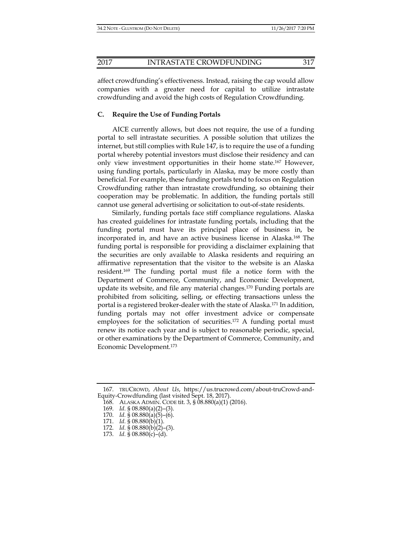affect crowdfunding's effectiveness. Instead, raising the cap would allow companies with a greater need for capital to utilize intrastate crowdfunding and avoid the high costs of Regulation Crowdfunding.

# **C. Require the Use of Funding Portals**

AICE currently allows, but does not require, the use of a funding portal to sell intrastate securities. A possible solution that utilizes the internet, but still complies with Rule 147, is to require the use of a funding portal whereby potential investors must disclose their residency and can only view investment opportunities in their home state.167 However, using funding portals, particularly in Alaska, may be more costly than beneficial. For example, these funding portals tend to focus on Regulation Crowdfunding rather than intrastate crowdfunding, so obtaining their cooperation may be problematic. In addition, the funding portals still cannot use general advertising or solicitation to out-of-state residents.

Similarly, funding portals face stiff compliance regulations. Alaska has created guidelines for intrastate funding portals, including that the funding portal must have its principal place of business in, be incorporated in, and have an active business license in Alaska.168 The funding portal is responsible for providing a disclaimer explaining that the securities are only available to Alaska residents and requiring an affirmative representation that the visitor to the website is an Alaska resident.169 The funding portal must file a notice form with the Department of Commerce, Community, and Economic Development, update its website, and file any material changes.170 Funding portals are prohibited from soliciting, selling, or effecting transactions unless the portal is a registered broker-dealer with the state of Alaska.171 In addition, funding portals may not offer investment advice or compensate employees for the solicitation of securities.<sup>172</sup> A funding portal must renew its notice each year and is subject to reasonable periodic, special, or other examinations by the Department of Commerce, Community, and Economic Development.173

 <sup>167.</sup> TRUCROWD, *About Us*, https://us.trucrowd.com/about-truCrowd-and-Equity-Crowdfunding (last visited Sept. 18, 2017).

 <sup>168.</sup> ALASKA ADMIN. CODE tit. 3, § 08.880(a)(1) (2016).

 <sup>169.</sup> *Id.* § 08.880(a)(2)–(3).

 <sup>170.</sup> *Id.* § 08.880(a)(5)–(6).

 <sup>171.</sup> *Id.* § 08.880(b)(1).

 <sup>172.</sup> *Id.* § 08.880(b)(2)–(3).

<sup>173.</sup> *Id.* §  $08.880(c) - (d)$ .